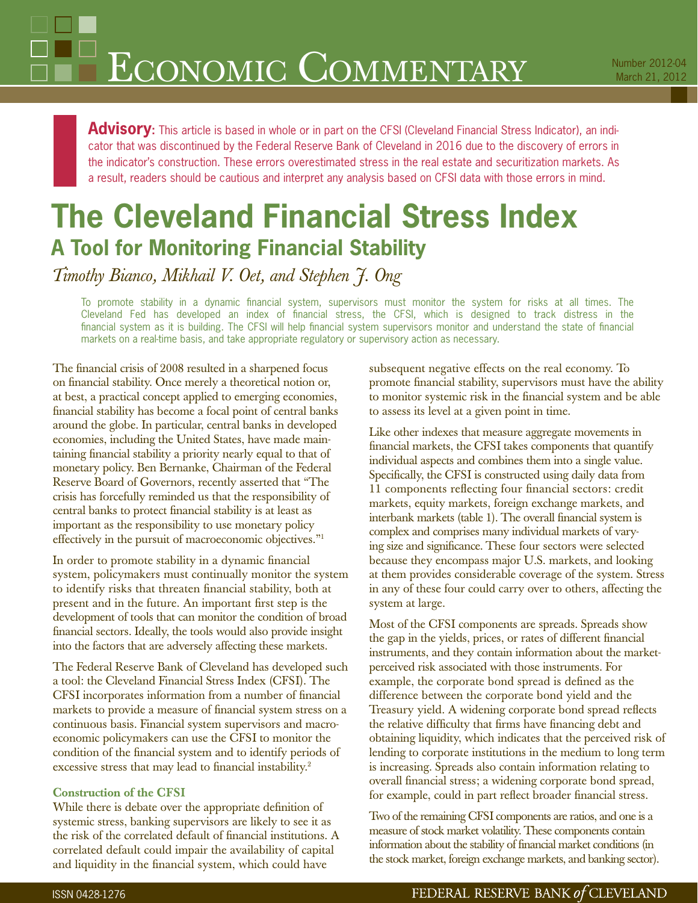# $\rm E_{CONOMIC}$   $\rm ComMENTARY$  Number 2012-04

Advisory: This article is based in whole or in part on the CFSI (Cleveland Financial Stress Indicator), an indicator that was discontinued by the Federal Reserve Bank of Cleveland in 2016 due to the discovery of errors in the indicator's construction. These errors overestimated stress in the real estate and securitization markets. As a result, readers should be cautious and interpret any analysis based on CFSI data with those errors in mind.

# **The Cleveland Financial Stress Index A Tool for Monitoring Financial Stability**

*Timothy Bianco, Mikhail V. Oet, and Stephen J. Ong*

To promote stability in a dynamic financial system, supervisors must monitor the system for risks at all times. The Cleveland Fed has developed an index of financial stress, the CFSI, which is designed to track distress in the financial system as it is building. The CFSI will help financial system supervisors monitor and understand the state of financial markets on a real-time basis, and take appropriate regulatory or supervisory action as necessary.

The financial crisis of 2008 resulted in a sharpened focus on financial stability. Once merely a theoretical notion or, at best, a practical concept applied to emerging economies, financial stability has become a focal point of central banks around the globe. In particular, central banks in developed economies, including the United States, have made maintaining financial stability a priority nearly equal to that of monetary policy. Ben Bernanke, Chairman of the Federal Reserve Board of Governors, recently asserted that "The crisis has forcefully reminded us that the responsibility of central banks to protect financial stability is at least as important as the responsibility to use monetary policy effectively in the pursuit of macroeconomic objectives."1

In order to promote stability in a dynamic financial system, policymakers must continually monitor the system to identify risks that threaten financial stability, both at present and in the future. An important first step is the development of tools that can monitor the condition of broad financial sectors. Ideally, the tools would also provide insight into the factors that are adversely affecting these markets.

The Federal Reserve Bank of Cleveland has developed such a tool: the Cleveland Financial Stress Index (CFSI). The CFSI incorporates information from a number of financial markets to provide a measure of financial system stress on a continuous basis. Financial system supervisors and macroeconomic policymakers can use the CFSI to monitor the condition of the financial system and to identify periods of excessive stress that may lead to financial instability.<sup>2</sup>

#### **Construction of the CFSI**

While there is debate over the appropriate definition of systemic stress, banking supervisors are likely to see it as the risk of the correlated default of financial institutions. A correlated default could impair the availability of capital and liquidity in the financial system, which could have

subsequent negative effects on the real economy. To promote financial stability, supervisors must have the ability to monitor systemic risk in the financial system and be able to assess its level at a given point in time.

Like other indexes that measure aggregate movements in financial markets, the CFSI takes components that quantify individual aspects and combines them into a single value. Specifically, the CFSI is constructed using daily data from 11 components reflecting four financial sectors: credit markets, equity markets, foreign exchange markets, and interbank markets (table 1). The overall financial system is complex and comprises many individual markets of varying size and significance. These four sectors were selected because they encompass major U.S. markets, and looking at them provides considerable coverage of the system. Stress in any of these four could carry over to others, affecting the system at large.

Most of the CFSI components are spreads. Spreads show the gap in the yields, prices, or rates of different financial instruments, and they contain information about the marketperceived risk associated with those instruments. For example, the corporate bond spread is defined as the difference between the corporate bond yield and the Treasury yield. A widening corporate bond spread reflects the relative difficulty that firms have financing debt and obtaining liquidity, which indicates that the perceived risk of lending to corporate institutions in the medium to long term is increasing. Spreads also contain information relating to overall financial stress; a widening corporate bond spread, for example, could in part reflect broader financial stress.

Two of the remaining CFSI components are ratios, and one is a measure of stock market volatility. These components contain information about the stability of financial market conditions (in the stock market, foreign exchange markets, and banking sector).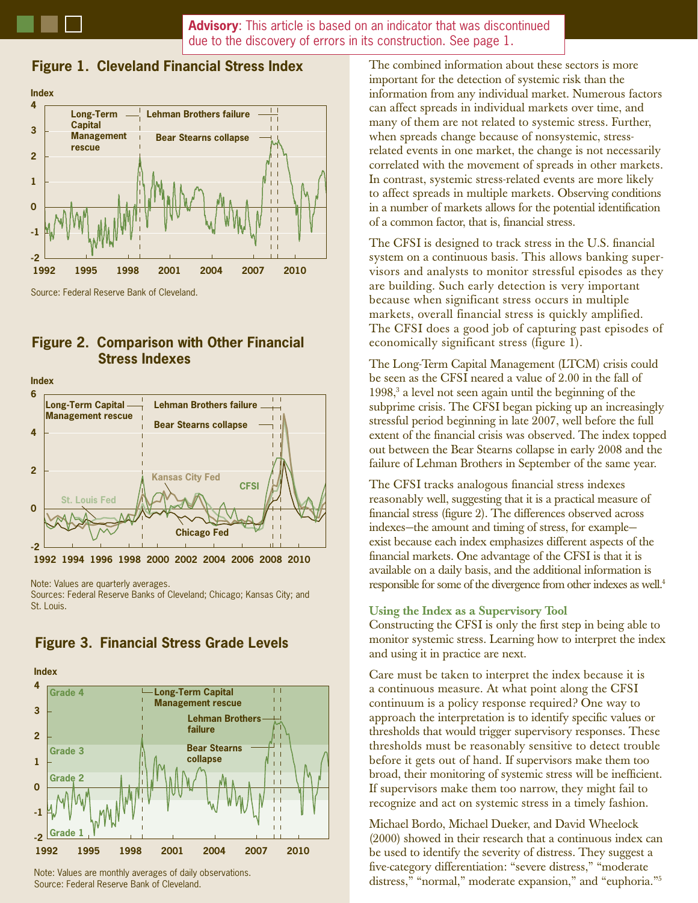**Advisory**: This article is based on an indicator that was discontinued due to the discovery of errors in its construction. See page 1.

### **Figure 1. Cleveland Financial Stress Index**



**Figure 2. Comparison with Other Financial Stress Indexes**



Note: Values are quarterly averages.

Sources: Federal Reserve Banks of Cleveland; Chicago; Kansas City; and St. Louis.



# **Figure 3. Financial Stress Grade Levels**

Note: Values are monthly averages of daily observations. Source: Federal Reserve Bank of Cleveland.

The combined information about these sectors is more important for the detection of systemic risk than the information from any individual market. Numerous factors can affect spreads in individual markets over time, and many of them are not related to systemic stress. Further, when spreads change because of nonsystemic, stressrelated events in one market, the change is not necessarily correlated with the movement of spreads in other markets. In contrast, systemic stress-related events are more likely to affect spreads in multiple markets. Observing conditions in a number of markets allows for the potential identification of a common factor, that is, financial stress.

The CFSI is designed to track stress in the U.S. financial system on a continuous basis. This allows banking supervisors and analysts to monitor stressful episodes as they are building. Such early detection is very important because when significant stress occurs in multiple markets, overall financial stress is quickly amplified. The CFSI does a good job of capturing past episodes of economically significant stress (figure 1).

The Long-Term Capital Management (LTCM) crisis could be seen as the CFSI neared a value of 2.00 in the fall of 1998,<sup>3</sup> a level not seen again until the beginning of the subprime crisis. The CFSI began picking up an increasingly stressful period beginning in late 2007, well before the full extent of the financial crisis was observed. The index topped out between the Bear Stearns collapse in early 2008 and the failure of Lehman Brothers in September of the same year.

The CFSI tracks analogous financial stress indexes reasonably well, suggesting that it is a practical measure of financial stress (figure 2). The differences observed across indexes—the amount and timing of stress, for example exist because each index emphasizes different aspects of the financial markets. One advantage of the CFSI is that it is available on a daily basis, and the additional information is responsible for some of the divergence from other indexes as well.4

#### **Using the Index as a Supervisory Tool**

Constructing the CFSI is only the first step in being able to monitor systemic stress. Learning how to interpret the index and using it in practice are next.

Care must be taken to interpret the index because it is a continuous measure. At what point along the CFSI continuum is a policy response required? One way to approach the interpretation is to identify specific values or thresholds that would trigger supervisory responses. These thresholds must be reasonably sensitive to detect trouble before it gets out of hand. If supervisors make them too broad, their monitoring of systemic stress will be inefficient. If supervisors make them too narrow, they might fail to recognize and act on systemic stress in a timely fashion.

Michael Bordo, Michael Dueker, and David Wheelock (2000) showed in their research that a continuous index can be used to identify the severity of distress. They suggest a five-category differentiation: "severe distress," "moderate distress," "normal," moderate expansion," and "euphoria."5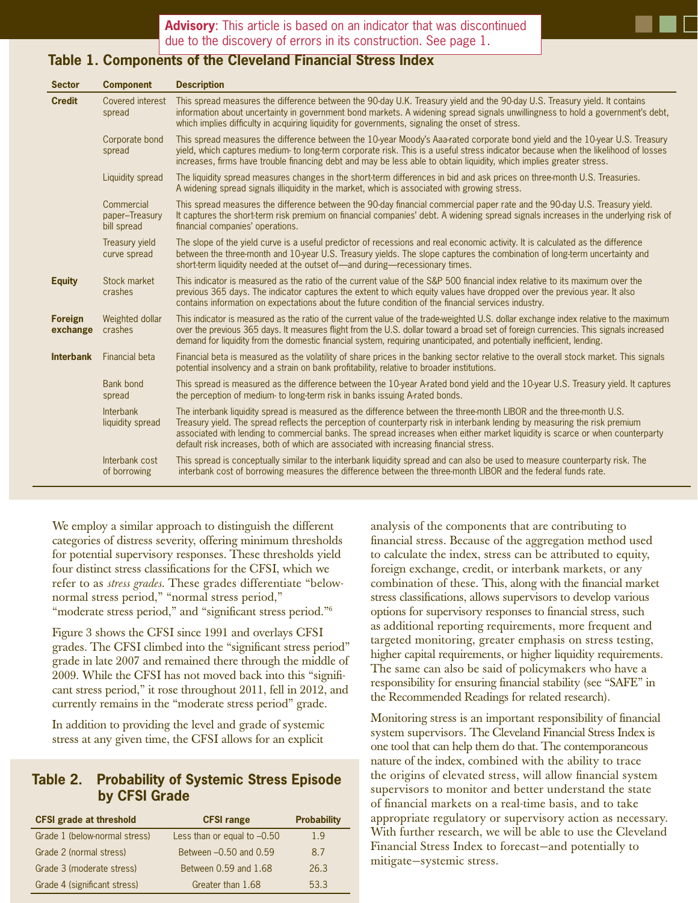

| <b>Sector</b>              | <b>Component</b>                            | <b>Description</b>                                                                                                                                                                                                                                                                                                                                                                                                                                                           |
|----------------------------|---------------------------------------------|------------------------------------------------------------------------------------------------------------------------------------------------------------------------------------------------------------------------------------------------------------------------------------------------------------------------------------------------------------------------------------------------------------------------------------------------------------------------------|
| <b>Credit</b>              | Covered interest<br>spread                  | This spread measures the difference between the 90-day U.K. Treasury yield and the 90-day U.S. Treasury yield. It contains<br>information about uncertainty in government bond markets. A widening spread signals unwillingness to hold a government's debt,<br>which implies difficulty in acquiring liquidity for governments, signaling the onset of stress.                                                                                                              |
|                            | Corporate bond<br>spread                    | This spread measures the difference between the 10-year Moody's Aaa-rated corporate bond yield and the 10-year U.S. Treasury<br>yield, which captures medium to long-term corporate risk. This is a useful stress indicator because when the likelihood of losses<br>increases, firms have trouble financing debt and may be less able to obtain liquidity, which implies greater stress.                                                                                    |
|                            | Liquidity spread                            | The liquidity spread measures changes in the short-term differences in bid and ask prices on three-month U.S. Treasuries.<br>A widening spread signals illiquidity in the market, which is associated with growing stress.                                                                                                                                                                                                                                                   |
|                            | Commercial<br>paper-Treasury<br>bill spread | This spread measures the difference between the 90-day financial commercial paper rate and the 90-day U.S. Treasury yield.<br>It captures the short-term risk premium on financial companies' debt. A widening spread signals increases in the underlying risk of<br>financial companies' operations.                                                                                                                                                                        |
|                            | Treasury yield<br>curve spread              | The slope of the yield curve is a useful predictor of recessions and real economic activity. It is calculated as the difference<br>between the three-month and 10-year U.S. Treasury yields. The slope captures the combination of long-term uncertainty and<br>short-term liquidity needed at the outset of-and during-recessionary times.                                                                                                                                  |
| <b>Equity</b>              | Stock market<br>crashes                     | This indicator is measured as the ratio of the current value of the S&P 500 financial index relative to its maximum over the<br>previous 365 days. The indicator captures the extent to which equity values have dropped over the previous year. It also<br>contains information on expectations about the future condition of the financial services industry.                                                                                                              |
| <b>Foreign</b><br>exchange | Weighted dollar<br>crashes                  | This indicator is measured as the ratio of the current value of the trade-weighted U.S. dollar exchange index relative to the maximum<br>over the previous 365 days. It measures flight from the U.S. dollar toward a broad set of foreign currencies. This signals increased<br>demand for liquidity from the domestic financial system, requiring unanticipated, and potentially inefficient, lending.                                                                     |
| <b>Interbank</b>           | <b>Financial beta</b>                       | Financial beta is measured as the volatility of share prices in the banking sector relative to the overall stock market. This signals<br>potential insolvency and a strain on bank profitability, relative to broader institutions.                                                                                                                                                                                                                                          |
|                            | Bank bond<br>spread                         | This spread is measured as the difference between the 10-year A-rated bond yield and the 10-year U.S. Treasury yield. It captures<br>the perception of medium- to long-term risk in banks issuing A-rated bonds.                                                                                                                                                                                                                                                             |
|                            | Interbank<br>liquidity spread               | The interbank liquidity spread is measured as the difference between the three-month LIBOR and the three-month U.S.<br>Treasury yield. The spread reflects the perception of counterparty risk in interbank lending by measuring the risk premium<br>associated with lending to commercial banks. The spread increases when either market liquidity is scarce or when counterparty<br>default risk increases, both of which are associated with increasing financial stress. |
|                            | Interbank cost<br>of borrowing              | This spread is conceptually similar to the interbank liquidity spread and can also be used to measure counterparty risk. The<br>interbank cost of borrowing measures the difference between the three-month LIBOR and the federal funds rate.                                                                                                                                                                                                                                |

We employ a similar approach to distinguish the different categories of distress severity, offering minimum thresholds for potential supervisory responses. These thresholds yield four distinct stress classifications for the CFSI, which we refer to as *stress grades*. These grades differentiate "belownormal stress period," "normal stress period," "moderate stress period," and "significant stress period."<sup>6</sup>

Figure 3 shows the CFSI since 1991 and overlays CFSI grades. The CFSI climbed into the "significant stress period" grade in late 2007 and remained there through the middle of 2009. While the CFSI has not moved back into this "significant stress period," it rose throughout 2011, fell in 2012, and currently remains in the "moderate stress period" grade.

In addition to providing the level and grade of systemic stress at any given time, the CFSI allows for an explicit

## **Table 2. Probability of Systemic Stress Episode by CFSI Grade**

| <b>CFSI grade at threshold</b> | <b>CFSI range</b>             | <b>Probability</b> |
|--------------------------------|-------------------------------|--------------------|
| Grade 1 (below-normal stress)  | Less than or equal to $-0.50$ | 1.9                |
| Grade 2 (normal stress)        | Between -0.50 and 0.59        | 8.7                |
| Grade 3 (moderate stress)      | Between 0.59 and 1.68         | 26.3               |
| Grade 4 (significant stress)   | Greater than 1.68             | 53.3               |

analysis of the components that are contributing to financial stress. Because of the aggregation method used to calculate the index, stress can be attributed to equity, foreign exchange, credit, or interbank markets, or any combination of these. This, along with the financial market stress classifications, allows supervisors to develop various options for supervisory responses to financial stress, such as additional reporting requirements, more frequent and targeted monitoring, greater emphasis on stress testing, higher capital requirements, or higher liquidity requirements. The same can also be said of policymakers who have a responsibility for ensuring financial stability (see "SAFE" in the Recommended Readings for related research).

Monitoring stress is an important responsibility of financial system supervisors. The Cleveland Financial Stress Index is one tool that can help them do that. The contemporaneous nature of the index, combined with the ability to trace the origins of elevated stress, will allow financial system supervisors to monitor and better understand the state of financial markets on a real-time basis, and to take appropriate regulatory or supervisory action as necessary. With further research, we will be able to use the Cleveland Financial Stress Index to forecast—and potentially to mitigate—systemic stress.